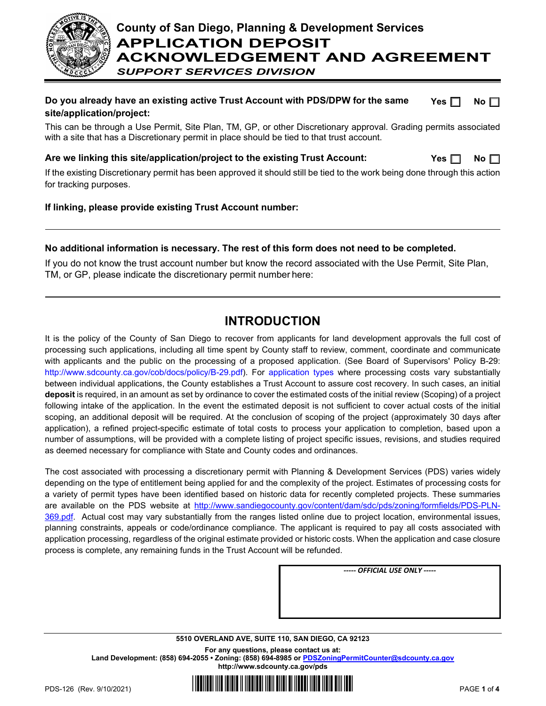

# **County of San Diego, Planning & Development Services APPLICATION DEPOSIT ACKNOWLEDGEMENT AND AGREEMENT** *SUPPORT SERVICES DIVISION*

#### **Do you already have an existing active Trust Account with PDS/DPW for the same site/application/project:**  $Yes \Box$  **No**  $\Box$

This can be through a Use Permit, Site Plan, TM, GP, or other Discretionary approval. Grading permits associated with a site that has a Discretionary permit in place should be tied to that trust account.

## **Are we linking this site/application/project to the existing Trust Account:**

| L<br>- 0. |  | Nο |  |
|-----------|--|----|--|
|-----------|--|----|--|

If the existing Discretionary permit has been approved it should still be tied to the work being done through this action for tracking purposes.

### **If linking, please provide existing Trust Account number:**

### **No additional information is necessary. The rest of this form does not need to be completed.**

If you do not know the trust account number but know the record associated with the Use Permit, Site Plan, TM, or GP, please indicate the discretionary permit number here:

# **INTRODUCTION**

It is the policy of the County of San Diego to recover from applicants for land development approvals the full cost of processing such applications, including all time spent by County staff to review, comment, coordinate and communicate with applicants and the public on the processing of a proposed application. (See Board of Supervisors' Policy B-29: [http://www.sdcounty.ca.gov/cob/docs/policy/B-29.pdf\).](http://www.sdcounty.ca.gov/cob/docs/policy/B-29.pdf)) For [application types](http://www.sdcounty.ca.gov/pds/zoning/ZoningPermits.html) where processing costs vary substantially between individual applications, the County establishes a Trust Account to assure cost recovery. In such cases, an initial **deposit** is required, in an amount as set by ordinance to cover the estimated costs of the initial review (Scoping) of a project following intake of the application. In the event the estimated deposit is not sufficient to cover actual costs of the initial scoping, an additional deposit will be required. At the conclusion of scoping of the project (approximately 30 days after application), a refined project-specific estimate of total costs to process your application to completion, based upon a number of assumptions, will be provided with a complete listing of project specific issues, revisions, and studies required as deemed necessary for compliance with State and County codes and ordinances.

The cost associated with processing a discretionary permit with Planning & Development Services (PDS) varies widely depending on the type of entitlement being applied for and the complexity of the project. Estimates of processing costs for a variety of permit types have been identified based on historic data for recently completed projects. These summaries are available on the PDS website at [http://www.sandiegocounty.gov/content/dam/sdc/pds/zoning/formfields/PDS-PLN-](http://www.sandiegocounty.gov/content/dam/sdc/pds/zoning/formfields/PDS-PLN-369.pdf)[369.pdf.](http://www.sandiegocounty.gov/content/dam/sdc/pds/zoning/formfields/PDS-PLN-369.pdf) Actual cost may vary substantially from the ranges listed online due to project location, environmental issues, planning constraints, appeals or code/ordinance compliance. The applicant is required to pay all costs associated with application processing, regardless of the original estimate provided or historic costs. When the application and case closure process is complete, any remaining funds in the Trust Account will be refunded.

*----- OFFICIAL USE ONLY -----*

### **5510 OVERLAND AVE, SUITE 110, SAN DIEGO, CA 92123 For any questions, please contact us at: Land Development: (858) 694-2055 • Zoning: (858) 694-8985 or [PDSZoningPermitCounter@sdcounty.ca.gov](mailto:PDSZoningPermitCounter@sdcounty.ca.gov) <http://www.sdcounty.ca.gov/pds>**

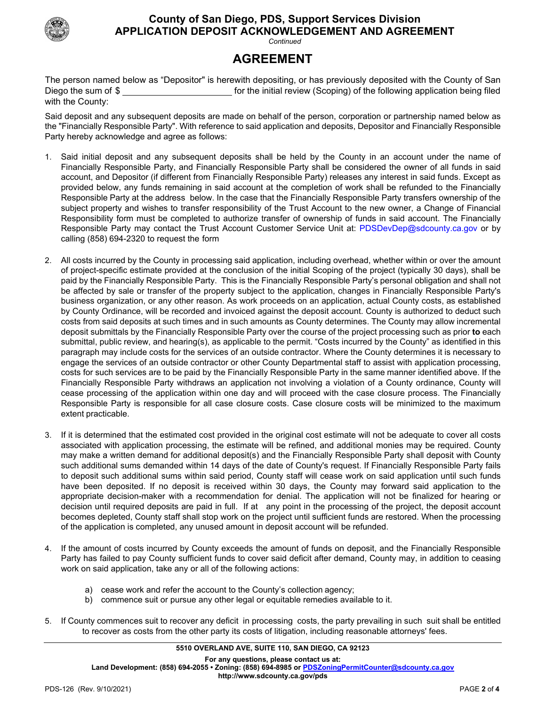

# **County of San Diego, PDS, Support Services Division APPLICATION DEPOSIT ACKNOWLEDGEMENT AND AGREEMENT**

*Continued*

# **AGREEMENT**

The person named below as "Depositor" is herewith depositing, or has previously deposited with the County of San Diego the sum of \$ for the initial review (Scoping) of the following application being filed with the County:

Said deposit and any subsequent deposits are made on behalf of the person, corporation or partnership named below as the "Financially Responsible Party". With reference to said application and deposits, Depositor and Financially Responsible Party hereby acknowledge and agree as follows:

- 1. Said initial deposit and any subsequent deposits shall be held by the County in an account under the name of Financially Responsible Party, and Financially Responsible Party shall be considered the owner of all funds in said account, and Depositor (if different from Financially Responsible Party) releases any interest in said funds. Except as provided below, any funds remaining in said account at the completion of work shall be refunded to the Financially Responsible Party at the address below. In the case that the Financially Responsible Party transfers ownership of the subject property and wishes to transfer responsibility of the Trust Account to the new owner, a Change of Financial Responsibility form must be completed to authorize transfer of ownership of funds in said account. The Financially Responsible Party may contact the Trust Account Customer Service Unit at: [PDSDevDep@sdcounty.ca.gov](mailto:PDSDevDep@sdcounty.ca.gov) or by calling (858) 694-2320 to request the form
- 2. All costs incurred by the County in processing said application, including overhead, whether within or over the amount of project-specific estimate provided at the conclusion of the initial Scoping of the project (typically 30 days), shall be paid by the Financially Responsible Party. This is the Financially Responsible Party's personal obligation and shall not be affected by sale or transfer of the property subject to the application, changes in Financially Responsible Party's business organization, or any other reason. As work proceeds on an application, actual County costs, as established by County Ordinance, will be recorded and invoiced against the deposit account. County is authorized to deduct such costs from said deposits at such times and in such amounts as County determines. The County may allow incremental deposit submittals by the Financially Responsible Party over the course of the project processing such as prior **to** each submittal, public review, and hearing(s), as applicable to the permit. "Costs incurred by the County" as identified in this paragraph may include costs for the services of an outside contractor. Where the County determines it is necessary to engage the services of an outside contractor or other County Departmental staff to assist with application processing, costs for such services are to be paid by the Financially Responsible Party in the same manner identified above. If the Financially Responsible Party withdraws an application not involving a violation of a County ordinance, County will cease processing of the application within one day and will proceed with the case closure process. The Financially Responsible Party is responsible for all case closure costs. Case closure costs will be minimized to the maximum extent practicable.
- 3. If it is determined that the estimated cost provided in the original cost estimate will not be adequate to cover all costs associated with application processing, the estimate will be refined, and additional monies may be required. County may make a written demand for additional deposit(s) and the Financially Responsible Party shall deposit with County such additional sums demanded within 14 days of the date of County's request. If Financially Responsible Party fails to deposit such additional sums within said period, County staff will cease work on said application until such funds have been deposited. If no deposit is received within 30 days, the County may forward said application to the appropriate decision-maker with a recommendation for denial. The application will not be finalized for hearing or decision until required deposits are paid in full. If at any point in the processing of the project, the deposit account becomes depleted, County staff shall stop work on the project until sufficient funds are restored. When the processing of the application is completed, any unused amount in deposit account will be refunded.
- 4. If the amount of costs incurred by County exceeds the amount of funds on deposit, and the Financially Responsible Party has failed to pay County sufficient funds to cover said deficit after demand, County may, in addition to ceasing work on said application, take any or all of the following actions:
	- a) cease work and refer the account to the County's collection agency;
	- b) commence suit or pursue any other legal or equitable remedies available to it.
- 5. If County commences suit to recover any deficit in processing costs, the party prevailing in such suit shall be entitled to recover as costs from the other party its costs of litigation, including reasonable attorneys' fees.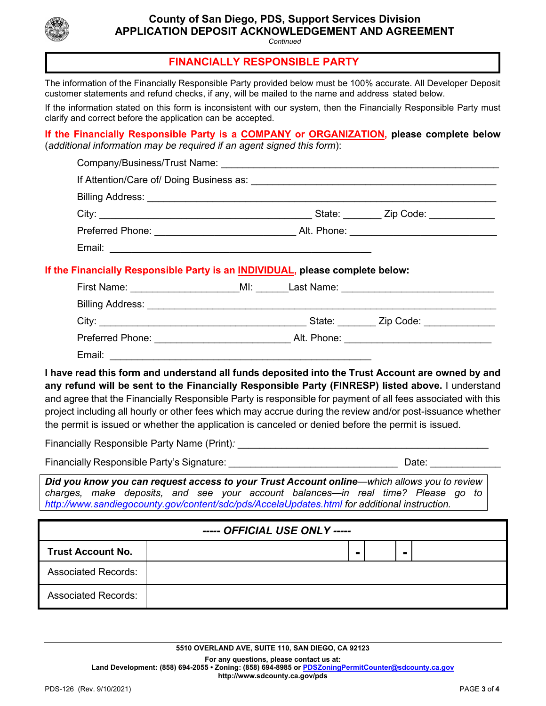

# **County of San Diego, PDS, Support Services Division APPLICATION DEPOSIT ACKNOWLEDGEMENT AND AGREEMENT**

*Continued*

### **FINANCIALLY RESPONSIBLE PARTY**

The information of the Financially Responsible Party provided below must be 100% accurate. All Developer Deposit customer statements and refund checks, if any, will be mailed to the name and address stated below.

If the information stated on this form is inconsistent with our system, then the Financially Responsible Party must clarify and correct before the application can be accepted.

**If the Financially Responsible Party is a COMPANY or ORGANIZATION, please complete below**  (*additional information may be required if an agent signed this form*):

|  |  | ----- OFFICIAL USE ONLY ----- | If the Financially Responsible Party is an INDIVIDUAL, please complete below:<br>First Name: ________________________MI: _______Last Name: ______________________<br>I have read this form and understand all funds deposited into the Trust Account are owned by and<br>any refund will be sent to the Financially Responsible Party (FINRESP) listed above. I understand<br>and agree that the Financially Responsible Party is responsible for payment of all fees associated with this<br>project including all hourly or other fees which may accrue during the review and/or post-issuance whether<br>the permit is issued or whether the application is canceled or denied before the permit is issued.<br>Did you know you can request access to your Trust Account online-which allows you to review<br>charges, make deposits, and see your account balances—in real time? Please go to<br>http://www.sandiegocounty.gov/content/sdc/pds/AccelaUpdates.html for additional instruction. |
|--|--|-------------------------------|---------------------------------------------------------------------------------------------------------------------------------------------------------------------------------------------------------------------------------------------------------------------------------------------------------------------------------------------------------------------------------------------------------------------------------------------------------------------------------------------------------------------------------------------------------------------------------------------------------------------------------------------------------------------------------------------------------------------------------------------------------------------------------------------------------------------------------------------------------------------------------------------------------------------------------------------------------------------------------------------------|